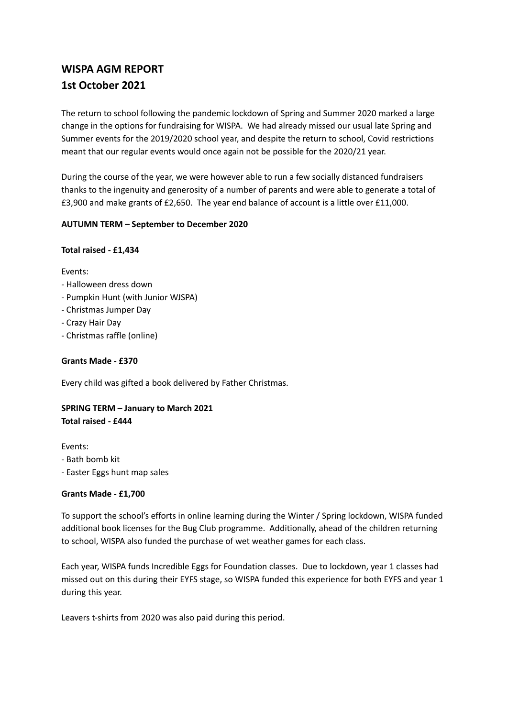# **WISPA AGM REPORT 1st October 2021**

The return to school following the pandemic lockdown of Spring and Summer 2020 marked a large change in the options for fundraising for WISPA. We had already missed our usual late Spring and Summer events for the 2019/2020 school year, and despite the return to school, Covid restrictions meant that our regular events would once again not be possible for the 2020/21 year.

During the course of the year, we were however able to run a few socially distanced fundraisers thanks to the ingenuity and generosity of a number of parents and were able to generate a total of £3,900 and make grants of £2,650. The year end balance of account is a little over £11,000.

## **AUTUMN TERM – September to December 2020**

## **Total raised - £1,434**

Events:

- Halloween dress down
- Pumpkin Hunt (with Junior WJSPA)
- Christmas Jumper Day
- Crazy Hair Day
- Christmas raffle (online)

## **Grants Made - £370**

Every child was gifted a book delivered by Father Christmas.

## **SPRING TERM – January to March 2021 Total raised - £444**

Events: - Bath bomb kit

- Easter Eggs hunt map sales

## **Grants Made - £1,700**

To support the school's efforts in online learning during the Winter / Spring lockdown, WISPA funded additional book licenses for the Bug Club programme. Additionally, ahead of the children returning to school, WISPA also funded the purchase of wet weather games for each class.

Each year, WISPA funds Incredible Eggs for Foundation classes. Due to lockdown, year 1 classes had missed out on this during their EYFS stage, so WISPA funded this experience for both EYFS and year 1 during this year.

Leavers t-shirts from 2020 was also paid during this period.